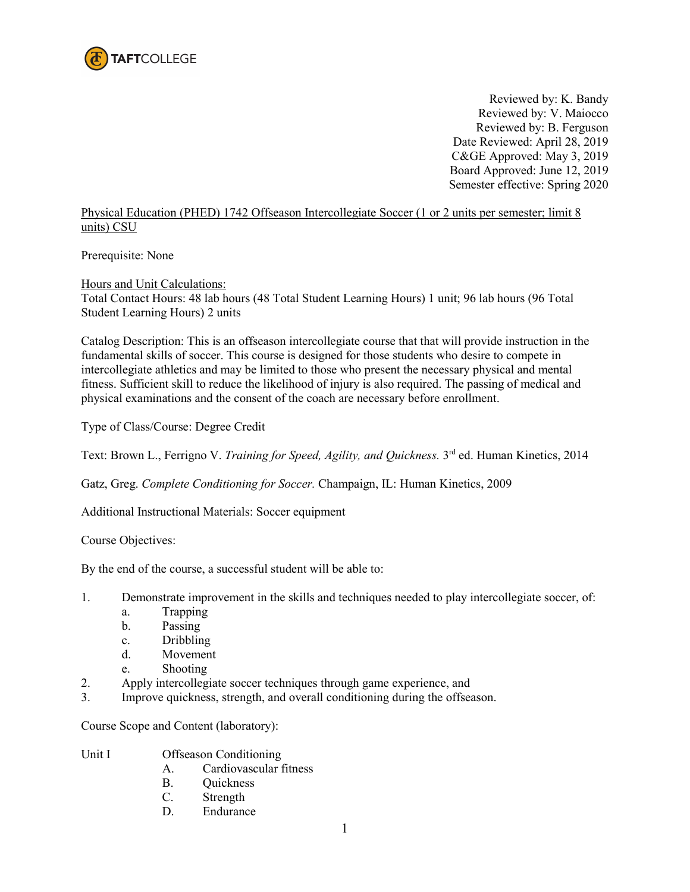

Reviewed by: K. Bandy Reviewed by: V. Maiocco Reviewed by: B. Ferguson Date Reviewed: April 28, 2019 C&GE Approved: May 3, 2019 Board Approved: June 12, 2019 Semester effective: Spring 2020

Physical Education (PHED) 1742 Offseason Intercollegiate Soccer (1 or 2 units per semester; limit 8 units) CSU

Prerequisite: None

Hours and Unit Calculations:

Total Contact Hours: 48 lab hours (48 Total Student Learning Hours) 1 unit; 96 lab hours (96 Total Student Learning Hours) 2 units

Catalog Description: This is an offseason intercollegiate course that that will provide instruction in the fundamental skills of soccer. This course is designed for those students who desire to compete in intercollegiate athletics and may be limited to those who present the necessary physical and mental fitness. Sufficient skill to reduce the likelihood of injury is also required. The passing of medical and physical examinations and the consent of the coach are necessary before enrollment.

Type of Class/Course: Degree Credit

Text: Brown L., Ferrigno V. *Training for Speed, Agility, and Quickness*. <sup>3rd</sup> ed. Human Kinetics, 2014

Gatz, Greg. *Complete Conditioning for Soccer.* Champaign, IL: Human Kinetics, 2009

Additional Instructional Materials: Soccer equipment

Course Objectives:

By the end of the course, a successful student will be able to:

- 1. Demonstrate improvement in the skills and techniques needed to play intercollegiate soccer, of:
	- a. Trapping
	- b. Passing
	- c. Dribbling
	- d. Movement
	- e. Shooting
- 2. Apply intercollegiate soccer techniques through game experience, and
- 3. Improve quickness, strength, and overall conditioning during the offseason.

Course Scope and Content (laboratory):

- Unit I Offseason Conditioning
	- A. Cardiovascular fitness
	- B. Quickness
	- C. Strength
	- D. Endurance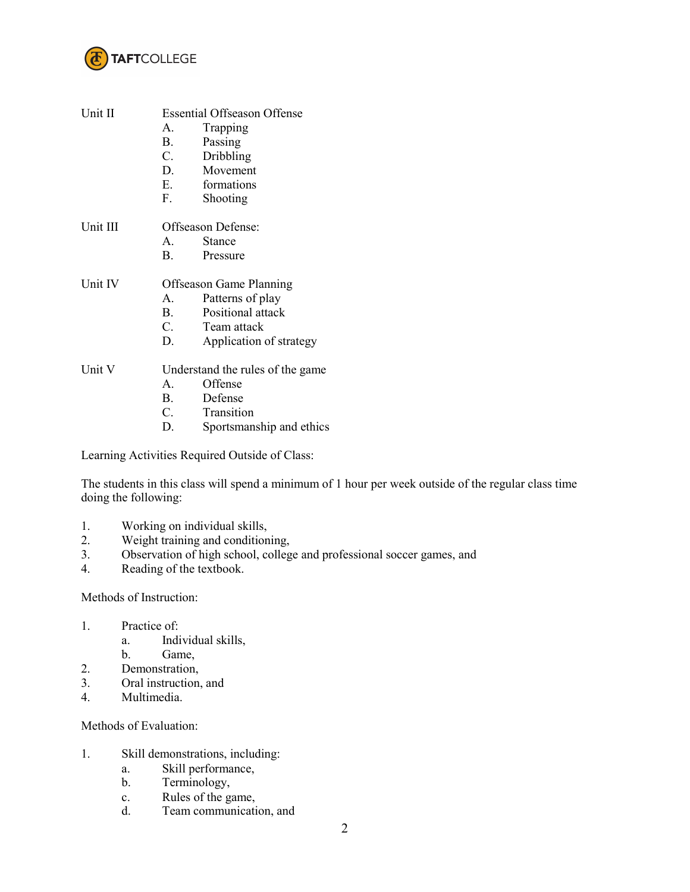

| Unit II  | <b>Essential Offseason Offense</b> |                          |  |
|----------|------------------------------------|--------------------------|--|
|          | $\mathsf{A}$                       | Trapping                 |  |
|          | <b>B</b> .                         | Passing                  |  |
|          | C.                                 | Dribbling                |  |
|          |                                    | D. Movement              |  |
|          |                                    | E. formations            |  |
|          |                                    | F. Shooting              |  |
| Unit III | Offseason Defense:                 |                          |  |
|          | $A_{1}$                            | <b>Stance</b>            |  |
|          |                                    | B. Pressure              |  |
| Unit IV  | <b>Offseason Game Planning</b>     |                          |  |
|          | A.                                 | Patterns of play         |  |
|          | <b>B</b> .                         | Positional attack        |  |
|          |                                    | C. Team attack           |  |
|          | D.                                 | Application of strategy  |  |
| Unit V   | Understand the rules of the game   |                          |  |
|          | $\mathbf{A}$                       | Offense                  |  |
|          |                                    | B. Defense               |  |
|          |                                    | C. Transition            |  |
|          | D.                                 | Sportsmanship and ethics |  |
|          |                                    |                          |  |

Learning Activities Required Outside of Class:

The students in this class will spend a minimum of 1 hour per week outside of the regular class time doing the following:

- 1. Working on individual skills,<br>2. Weight training and condition
- Weight training and conditioning,
- 3. Observation of high school, college and professional soccer games, and
- 4. Reading of the textbook.

## Methods of Instruction:

- 1. Practice of:
	- a. Individual skills,
	- b. Game,
- 2. Demonstration,
- 3. Oral instruction, and
- 4. Multimedia.

Methods of Evaluation:

- 1. Skill demonstrations, including:
	- a. Skill performance,
	- b. Terminology,
	- c. Rules of the game,
	- d. Team communication, and